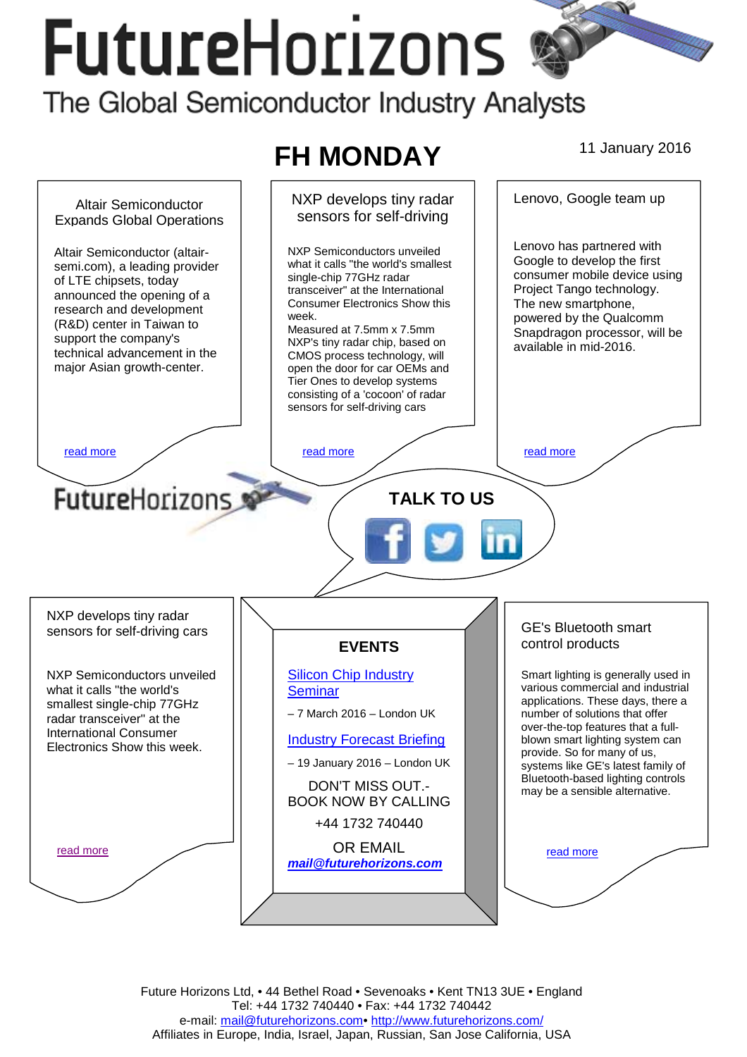# **FutureHorizons**

The Global Semiconductor Industry Analysts



Future Horizons Ltd, • 44 Bethel Road • Sevenoaks • Kent TN13 3UE • England Tel: +44 1732 740440 • Fax: +44 1732 740442 e-mail: mail@futurehorizons.com• http://www.futurehorizons.com/ Affiliates in Europe, India, Israel, Japan, Russian, San Jose California, USA